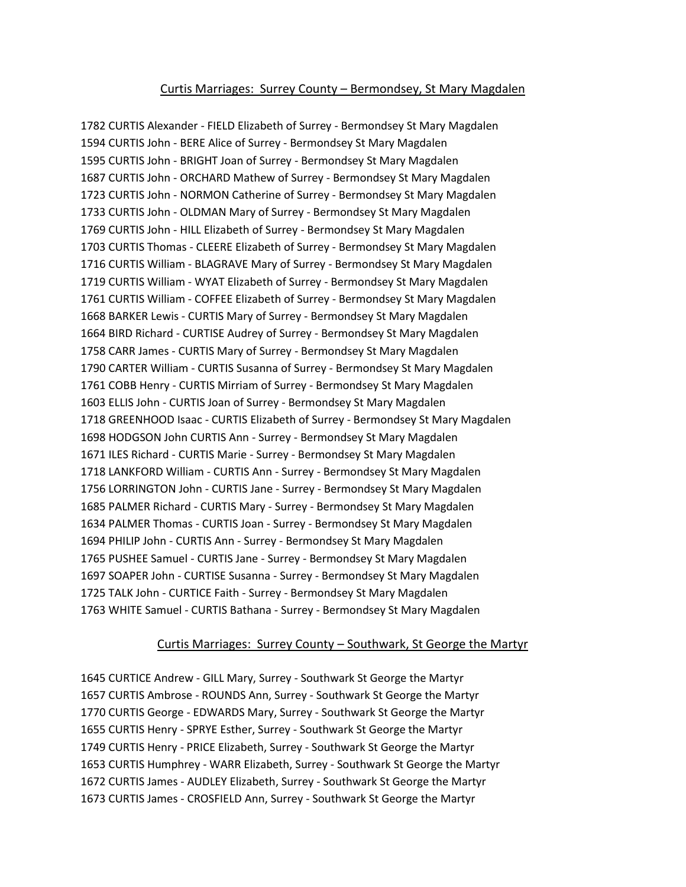### Curtis Marriages: Surrey County – Bermondsey, St Mary Magdalen

1782 CURTIS Alexander - FIELD Elizabeth of Surrey - Bermondsey St Mary Magdalen 1594 CURTIS John - BERE Alice of Surrey - Bermondsey St Mary Magdalen 1595 CURTIS John - BRIGHT Joan of Surrey - Bermondsey St Mary Magdalen 1687 CURTIS John - ORCHARD Mathew of Surrey - Bermondsey St Mary Magdalen 1723 CURTIS John - NORMON Catherine of Surrey - Bermondsey St Mary Magdalen 1733 CURTIS John - OLDMAN Mary of Surrey - Bermondsey St Mary Magdalen 1769 CURTIS John - HILL Elizabeth of Surrey - Bermondsey St Mary Magdalen 1703 CURTIS Thomas - CLEERE Elizabeth of Surrey - Bermondsey St Mary Magdalen 1716 CURTIS William - BLAGRAVE Mary of Surrey - Bermondsey St Mary Magdalen 1719 CURTIS William - WYAT Elizabeth of Surrey - Bermondsey St Mary Magdalen 1761 CURTIS William - COFFEE Elizabeth of Surrey - Bermondsey St Mary Magdalen 1668 BARKER Lewis - CURTIS Mary of Surrey - Bermondsey St Mary Magdalen 1664 BIRD Richard - CURTISE Audrey of Surrey - Bermondsey St Mary Magdalen 1758 CARR James - CURTIS Mary of Surrey - Bermondsey St Mary Magdalen 1790 CARTER William - CURTIS Susanna of Surrey - Bermondsey St Mary Magdalen 1761 COBB Henry - CURTIS Mirriam of Surrey - Bermondsey St Mary Magdalen 1603 ELLIS John - CURTIS Joan of Surrey - Bermondsey St Mary Magdalen 1718 GREENHOOD Isaac - CURTIS Elizabeth of Surrey - Bermondsey St Mary Magdalen 1698 HODGSON John CURTIS Ann - Surrey - Bermondsey St Mary Magdalen 1671 ILES Richard - CURTIS Marie - Surrey - Bermondsey St Mary Magdalen 1718 LANKFORD William - CURTIS Ann - Surrey - Bermondsey St Mary Magdalen 1756 LORRINGTON John - CURTIS Jane - Surrey - Bermondsey St Mary Magdalen 1685 PALMER Richard - CURTIS Mary - Surrey - Bermondsey St Mary Magdalen 1634 PALMER Thomas - CURTIS Joan - Surrey - Bermondsey St Mary Magdalen 1694 PHILIP John - CURTIS Ann - Surrey - Bermondsey St Mary Magdalen 1765 PUSHEE Samuel - CURTIS Jane - Surrey - Bermondsey St Mary Magdalen 1697 SOAPER John - CURTISE Susanna - Surrey - Bermondsey St Mary Magdalen 1725 TALK John - CURTICE Faith - Surrey - Bermondsey St Mary Magdalen 1763 WHITE Samuel - CURTIS Bathana - Surrey - Bermondsey St Mary Magdalen

#### Curtis Marriages: Surrey County – Southwark, St George the Martyr

1645 CURTICE Andrew - GILL Mary, Surrey - Southwark St George the Martyr 1657 CURTIS Ambrose - ROUNDS Ann, Surrey - Southwark St George the Martyr 1770 CURTIS George - EDWARDS Mary, Surrey - Southwark St George the Martyr 1655 CURTIS Henry - SPRYE Esther, Surrey - Southwark St George the Martyr 1749 CURTIS Henry - PRICE Elizabeth, Surrey - Southwark St George the Martyr 1653 CURTIS Humphrey - WARR Elizabeth, Surrey - Southwark St George the Martyr 1672 CURTIS James - AUDLEY Elizabeth, Surrey - Southwark St George the Martyr 1673 CURTIS James - CROSFIELD Ann, Surrey - Southwark St George the Martyr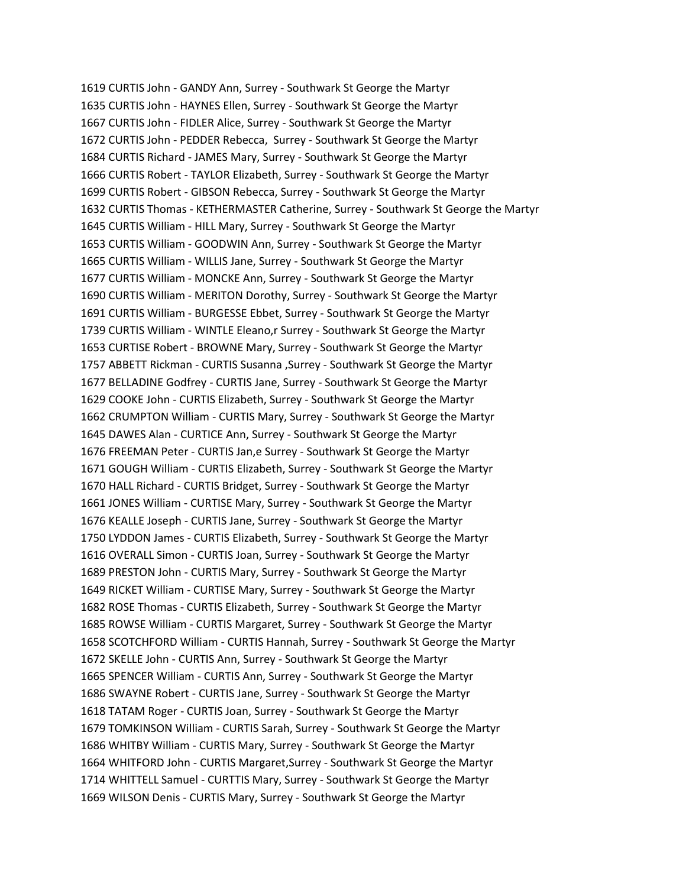1619 CURTIS John - GANDY Ann, Surrey - Southwark St George the Martyr 1635 CURTIS John - HAYNES Ellen, Surrey - Southwark St George the Martyr 1667 CURTIS John - FIDLER Alice, Surrey - Southwark St George the Martyr 1672 CURTIS John - PEDDER Rebecca, Surrey - Southwark St George the Martyr 1684 CURTIS Richard - JAMES Mary, Surrey - Southwark St George the Martyr 1666 CURTIS Robert - TAYLOR Elizabeth, Surrey - Southwark St George the Martyr 1699 CURTIS Robert - GIBSON Rebecca, Surrey - Southwark St George the Martyr 1632 CURTIS Thomas - KETHERMASTER Catherine, Surrey - Southwark St George the Martyr 1645 CURTIS William - HILL Mary, Surrey - Southwark St George the Martyr 1653 CURTIS William - GOODWIN Ann, Surrey - Southwark St George the Martyr 1665 CURTIS William - WILLIS Jane, Surrey - Southwark St George the Martyr 1677 CURTIS William - MONCKE Ann, Surrey - Southwark St George the Martyr 1690 CURTIS William - MERITON Dorothy, Surrey - Southwark St George the Martyr 1691 CURTIS William - BURGESSE Ebbet, Surrey - Southwark St George the Martyr 1739 CURTIS William - WINTLE Eleano,r Surrey - Southwark St George the Martyr 1653 CURTISE Robert - BROWNE Mary, Surrey - Southwark St George the Martyr 1757 ABBETT Rickman - CURTIS Susanna ,Surrey - Southwark St George the Martyr 1677 BELLADINE Godfrey - CURTIS Jane, Surrey - Southwark St George the Martyr 1629 COOKE John - CURTIS Elizabeth, Surrey - Southwark St George the Martyr 1662 CRUMPTON William - CURTIS Mary, Surrey - Southwark St George the Martyr 1645 DAWES Alan - CURTICE Ann, Surrey - Southwark St George the Martyr 1676 FREEMAN Peter - CURTIS Jan,e Surrey - Southwark St George the Martyr 1671 GOUGH William - CURTIS Elizabeth, Surrey - Southwark St George the Martyr 1670 HALL Richard - CURTIS Bridget, Surrey - Southwark St George the Martyr 1661 JONES William - CURTISE Mary, Surrey - Southwark St George the Martyr 1676 KEALLE Joseph - CURTIS Jane, Surrey - Southwark St George the Martyr 1750 LYDDON James - CURTIS Elizabeth, Surrey - Southwark St George the Martyr 1616 OVERALL Simon - CURTIS Joan, Surrey - Southwark St George the Martyr 1689 PRESTON John - CURTIS Mary, Surrey - Southwark St George the Martyr 1649 RICKET William - CURTISE Mary, Surrey - Southwark St George the Martyr 1682 ROSE Thomas - CURTIS Elizabeth, Surrey - Southwark St George the Martyr 1685 ROWSE William - CURTIS Margaret, Surrey - Southwark St George the Martyr 1658 SCOTCHFORD William - CURTIS Hannah, Surrey - Southwark St George the Martyr 1672 SKELLE John - CURTIS Ann, Surrey - Southwark St George the Martyr 1665 SPENCER William - CURTIS Ann, Surrey - Southwark St George the Martyr 1686 SWAYNE Robert - CURTIS Jane, Surrey - Southwark St George the Martyr 1618 TATAM Roger - CURTIS Joan, Surrey - Southwark St George the Martyr 1679 TOMKINSON William - CURTIS Sarah, Surrey - Southwark St George the Martyr 1686 WHITBY William - CURTIS Mary, Surrey - Southwark St George the Martyr 1664 WHITFORD John - CURTIS Margaret,Surrey - Southwark St George the Martyr 1714 WHITTELL Samuel - CURTTIS Mary, Surrey - Southwark St George the Martyr 1669 WILSON Denis - CURTIS Mary, Surrey - Southwark St George the Martyr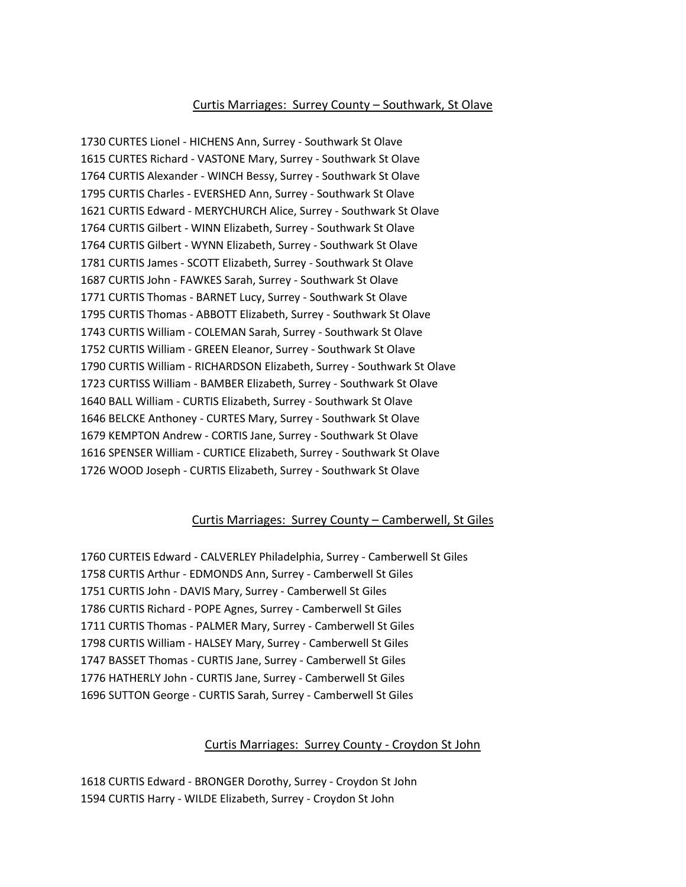## Curtis Marriages: Surrey County – Southwark, St Olave

1730 CURTES Lionel - HICHENS Ann, Surrey - Southwark St Olave 1615 CURTES Richard - VASTONE Mary, Surrey - Southwark St Olave 1764 CURTIS Alexander - WINCH Bessy, Surrey - Southwark St Olave 1795 CURTIS Charles - EVERSHED Ann, Surrey - Southwark St Olave 1621 CURTIS Edward - MERYCHURCH Alice, Surrey - Southwark St Olave 1764 CURTIS Gilbert - WINN Elizabeth, Surrey - Southwark St Olave 1764 CURTIS Gilbert - WYNN Elizabeth, Surrey - Southwark St Olave 1781 CURTIS James - SCOTT Elizabeth, Surrey - Southwark St Olave 1687 CURTIS John - FAWKES Sarah, Surrey - Southwark St Olave 1771 CURTIS Thomas - BARNET Lucy, Surrey - Southwark St Olave 1795 CURTIS Thomas - ABBOTT Elizabeth, Surrey - Southwark St Olave 1743 CURTIS William - COLEMAN Sarah, Surrey - Southwark St Olave 1752 CURTIS William - GREEN Eleanor, Surrey - Southwark St Olave 1790 CURTIS William - RICHARDSON Elizabeth, Surrey - Southwark St Olave 1723 CURTISS William - BAMBER Elizabeth, Surrey - Southwark St Olave 1640 BALL William - CURTIS Elizabeth, Surrey - Southwark St Olave 1646 BELCKE Anthoney - CURTES Mary, Surrey - Southwark St Olave 1679 KEMPTON Andrew - CORTIS Jane, Surrey - Southwark St Olave 1616 SPENSER William - CURTICE Elizabeth, Surrey - Southwark St Olave 1726 WOOD Joseph - CURTIS Elizabeth, Surrey - Southwark St Olave

### Curtis Marriages: Surrey County – Camberwell, St Giles

1760 CURTEIS Edward - CALVERLEY Philadelphia, Surrey - Camberwell St Giles 1758 CURTIS Arthur - EDMONDS Ann, Surrey - Camberwell St Giles 1751 CURTIS John - DAVIS Mary, Surrey - Camberwell St Giles 1786 CURTIS Richard - POPE Agnes, Surrey - Camberwell St Giles 1711 CURTIS Thomas - PALMER Mary, Surrey - Camberwell St Giles 1798 CURTIS William - HALSEY Mary, Surrey - Camberwell St Giles 1747 BASSET Thomas - CURTIS Jane, Surrey - Camberwell St Giles 1776 HATHERLY John - CURTIS Jane, Surrey - Camberwell St Giles 1696 SUTTON George - CURTIS Sarah, Surrey - Camberwell St Giles

#### Curtis Marriages: Surrey County - Croydon St John

1618 CURTIS Edward - BRONGER Dorothy, Surrey - Croydon St John 1594 CURTIS Harry - WILDE Elizabeth, Surrey - Croydon St John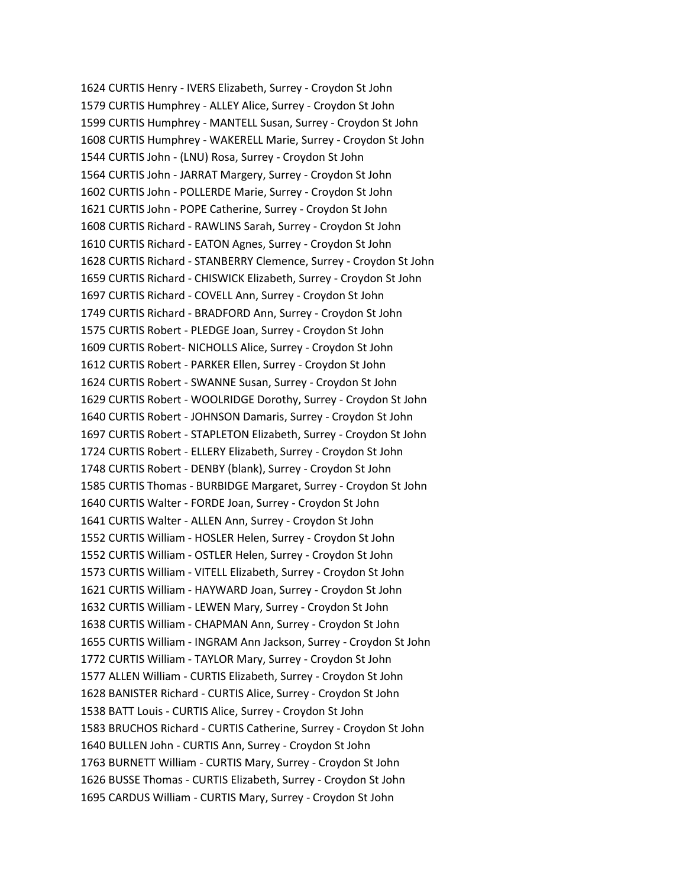1624 CURTIS Henry - IVERS Elizabeth, Surrey - Croydon St John 1579 CURTIS Humphrey - ALLEY Alice, Surrey - Croydon St John 1599 CURTIS Humphrey - MANTELL Susan, Surrey - Croydon St John 1608 CURTIS Humphrey - WAKERELL Marie, Surrey - Croydon St John 1544 CURTIS John - (LNU) Rosa, Surrey - Croydon St John 1564 CURTIS John - JARRAT Margery, Surrey - Croydon St John 1602 CURTIS John - POLLERDE Marie, Surrey - Croydon St John 1621 CURTIS John - POPE Catherine, Surrey - Croydon St John 1608 CURTIS Richard - RAWLINS Sarah, Surrey - Croydon St John 1610 CURTIS Richard - EATON Agnes, Surrey - Croydon St John 1628 CURTIS Richard - STANBERRY Clemence, Surrey - Croydon St John 1659 CURTIS Richard - CHISWICK Elizabeth, Surrey - Croydon St John 1697 CURTIS Richard - COVELL Ann, Surrey - Croydon St John 1749 CURTIS Richard - BRADFORD Ann, Surrey - Croydon St John 1575 CURTIS Robert - PLEDGE Joan, Surrey - Croydon St John 1609 CURTIS Robert- NICHOLLS Alice, Surrey - Croydon St John 1612 CURTIS Robert - PARKER Ellen, Surrey - Croydon St John 1624 CURTIS Robert - SWANNE Susan, Surrey - Croydon St John 1629 CURTIS Robert - WOOLRIDGE Dorothy, Surrey - Croydon St John 1640 CURTIS Robert - JOHNSON Damaris, Surrey - Croydon St John 1697 CURTIS Robert - STAPLETON Elizabeth, Surrey - Croydon St John 1724 CURTIS Robert - ELLERY Elizabeth, Surrey - Croydon St John 1748 CURTIS Robert - DENBY (blank), Surrey - Croydon St John 1585 CURTIS Thomas - BURBIDGE Margaret, Surrey - Croydon St John 1640 CURTIS Walter - FORDE Joan, Surrey - Croydon St John 1641 CURTIS Walter - ALLEN Ann, Surrey - Croydon St John 1552 CURTIS William - HOSLER Helen, Surrey - Croydon St John 1552 CURTIS William - OSTLER Helen, Surrey - Croydon St John 1573 CURTIS William - VITELL Elizabeth, Surrey - Croydon St John 1621 CURTIS William - HAYWARD Joan, Surrey - Croydon St John 1632 CURTIS William - LEWEN Mary, Surrey - Croydon St John 1638 CURTIS William - CHAPMAN Ann, Surrey - Croydon St John 1655 CURTIS William - INGRAM Ann Jackson, Surrey - Croydon St John 1772 CURTIS William - TAYLOR Mary, Surrey - Croydon St John 1577 ALLEN William - CURTIS Elizabeth, Surrey - Croydon St John 1628 BANISTER Richard - CURTIS Alice, Surrey - Croydon St John 1538 BATT Louis - CURTIS Alice, Surrey - Croydon St John 1583 BRUCHOS Richard - CURTIS Catherine, Surrey - Croydon St John 1640 BULLEN John - CURTIS Ann, Surrey - Croydon St John 1763 BURNETT William - CURTIS Mary, Surrey - Croydon St John 1626 BUSSE Thomas - CURTIS Elizabeth, Surrey - Croydon St John 1695 CARDUS William - CURTIS Mary, Surrey - Croydon St John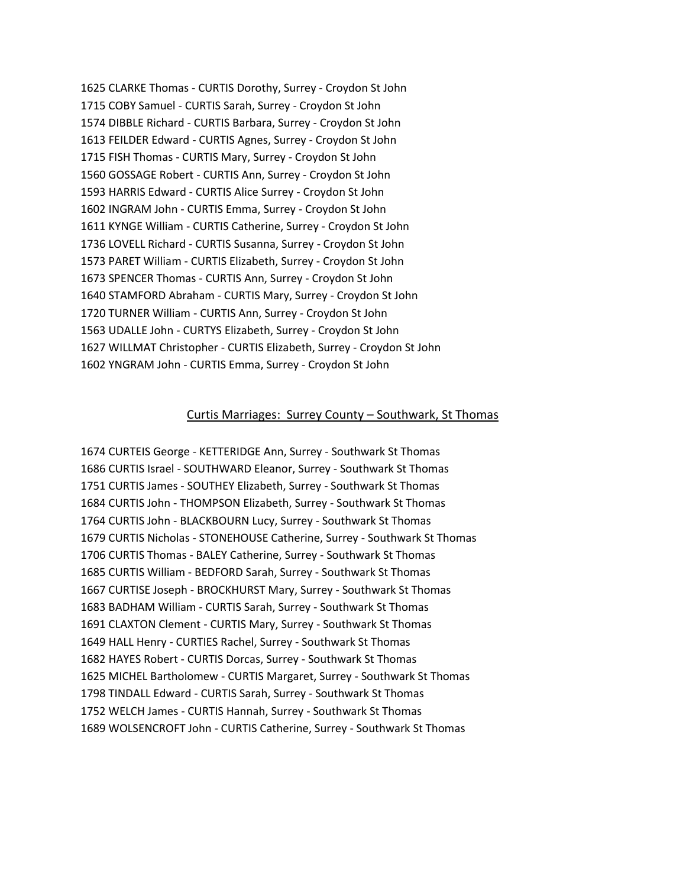1625 CLARKE Thomas - CURTIS Dorothy, Surrey - Croydon St John 1715 COBY Samuel - CURTIS Sarah, Surrey - Croydon St John 1574 DIBBLE Richard - CURTIS Barbara, Surrey - Croydon St John 1613 FEILDER Edward - CURTIS Agnes, Surrey - Croydon St John 1715 FISH Thomas - CURTIS Mary, Surrey - Croydon St John 1560 GOSSAGE Robert - CURTIS Ann, Surrey - Croydon St John 1593 HARRIS Edward - CURTIS Alice Surrey - Croydon St John 1602 INGRAM John - CURTIS Emma, Surrey - Croydon St John 1611 KYNGE William - CURTIS Catherine, Surrey - Croydon St John 1736 LOVELL Richard - CURTIS Susanna, Surrey - Croydon St John 1573 PARET William - CURTIS Elizabeth, Surrey - Croydon St John 1673 SPENCER Thomas - CURTIS Ann, Surrey - Croydon St John 1640 STAMFORD Abraham - CURTIS Mary, Surrey - Croydon St John 1720 TURNER William - CURTIS Ann, Surrey - Croydon St John 1563 UDALLE John - CURTYS Elizabeth, Surrey - Croydon St John 1627 WILLMAT Christopher - CURTIS Elizabeth, Surrey - Croydon St John 1602 YNGRAM John - CURTIS Emma, Surrey - Croydon St John

#### Curtis Marriages: Surrey County – Southwark, St Thomas

1674 CURTEIS George - KETTERIDGE Ann, Surrey - Southwark St Thomas 1686 CURTIS Israel - SOUTHWARD Eleanor, Surrey - Southwark St Thomas 1751 CURTIS James - SOUTHEY Elizabeth, Surrey - Southwark St Thomas 1684 CURTIS John - THOMPSON Elizabeth, Surrey - Southwark St Thomas 1764 CURTIS John - BLACKBOURN Lucy, Surrey - Southwark St Thomas 1679 CURTIS Nicholas - STONEHOUSE Catherine, Surrey - Southwark St Thomas 1706 CURTIS Thomas - BALEY Catherine, Surrey - Southwark St Thomas 1685 CURTIS William - BEDFORD Sarah, Surrey - Southwark St Thomas 1667 CURTISE Joseph - BROCKHURST Mary, Surrey - Southwark St Thomas 1683 BADHAM William - CURTIS Sarah, Surrey - Southwark St Thomas 1691 CLAXTON Clement - CURTIS Mary, Surrey - Southwark St Thomas 1649 HALL Henry - CURTIES Rachel, Surrey - Southwark St Thomas 1682 HAYES Robert - CURTIS Dorcas, Surrey - Southwark St Thomas 1625 MICHEL Bartholomew - CURTIS Margaret, Surrey - Southwark St Thomas 1798 TINDALL Edward - CURTIS Sarah, Surrey - Southwark St Thomas 1752 WELCH James - CURTIS Hannah, Surrey - Southwark St Thomas 1689 WOLSENCROFT John - CURTIS Catherine, Surrey - Southwark St Thomas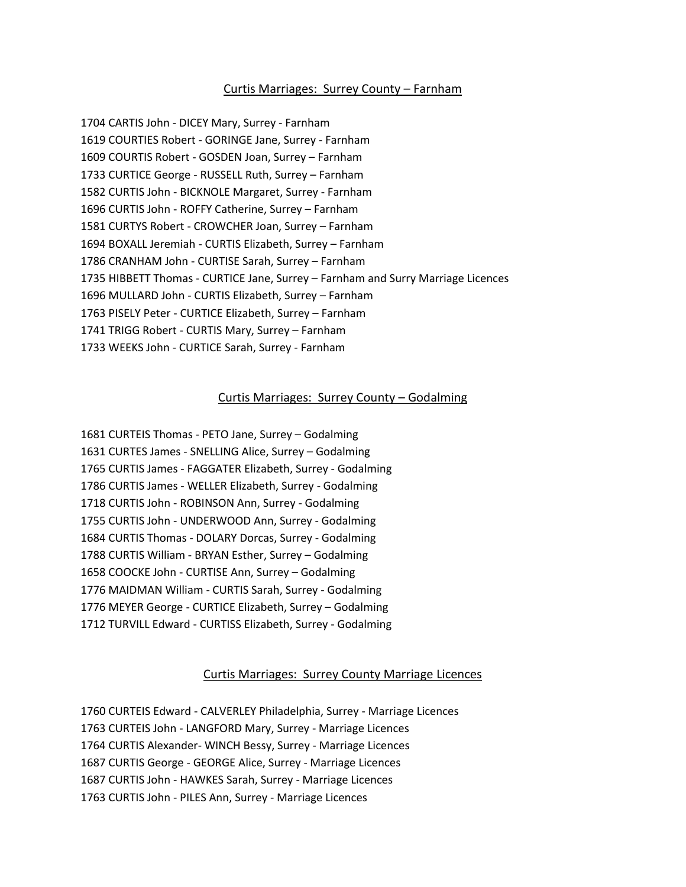### Curtis Marriages: Surrey County – Farnham

1704 CARTIS John - DICEY Mary, Surrey - Farnham 1619 COURTIES Robert - GORINGE Jane, Surrey - Farnham 1609 COURTIS Robert - GOSDEN Joan, Surrey – Farnham 1733 CURTICE George - RUSSELL Ruth, Surrey – Farnham 1582 CURTIS John - BICKNOLE Margaret, Surrey - Farnham 1696 CURTIS John - ROFFY Catherine, Surrey – Farnham 1581 CURTYS Robert - CROWCHER Joan, Surrey – Farnham 1694 BOXALL Jeremiah - CURTIS Elizabeth, Surrey – Farnham 1786 CRANHAM John - CURTISE Sarah, Surrey – Farnham 1735 HIBBETT Thomas - CURTICE Jane, Surrey – Farnham and Surry Marriage Licences 1696 MULLARD John - CURTIS Elizabeth, Surrey – Farnham 1763 PISELY Peter - CURTICE Elizabeth, Surrey – Farnham 1741 TRIGG Robert - CURTIS Mary, Surrey – Farnham 1733 WEEKS John - CURTICE Sarah, Surrey - Farnham

#### Curtis Marriages: Surrey County – Godalming

1681 CURTEIS Thomas - PETO Jane, Surrey – Godalming 1631 CURTES James - SNELLING Alice, Surrey – Godalming 1765 CURTIS James - FAGGATER Elizabeth, Surrey - Godalming 1786 CURTIS James - WELLER Elizabeth, Surrey - Godalming 1718 CURTIS John - ROBINSON Ann, Surrey - Godalming 1755 CURTIS John - UNDERWOOD Ann, Surrey - Godalming 1684 CURTIS Thomas - DOLARY Dorcas, Surrey - Godalming 1788 CURTIS William - BRYAN Esther, Surrey – Godalming 1658 COOCKE John - CURTISE Ann, Surrey – Godalming 1776 MAIDMAN William - CURTIS Sarah, Surrey - Godalming 1776 MEYER George - CURTICE Elizabeth, Surrey – Godalming 1712 TURVILL Edward - CURTISS Elizabeth, Surrey - Godalming

# Curtis Marriages: Surrey County Marriage Licences

1760 CURTEIS Edward - CALVERLEY Philadelphia, Surrey - Marriage Licences 1763 CURTEIS John - LANGFORD Mary, Surrey - Marriage Licences 1764 CURTIS Alexander- WINCH Bessy, Surrey - Marriage Licences 1687 CURTIS George - GEORGE Alice, Surrey - Marriage Licences 1687 CURTIS John - HAWKES Sarah, Surrey - Marriage Licences 1763 CURTIS John - PILES Ann, Surrey - Marriage Licences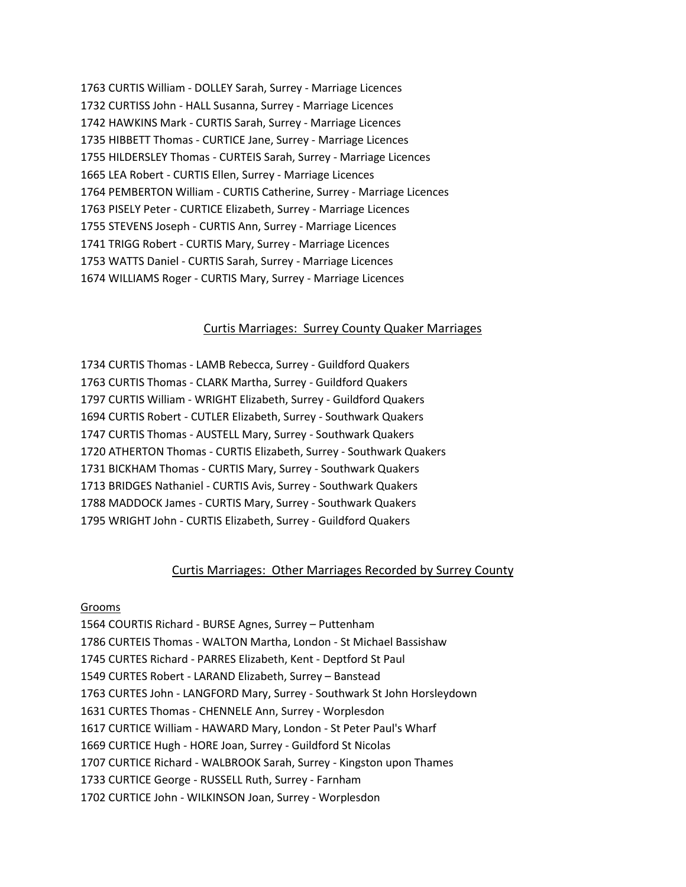1763 CURTIS William - DOLLEY Sarah, Surrey - Marriage Licences 1732 CURTISS John - HALL Susanna, Surrey - Marriage Licences 1742 HAWKINS Mark - CURTIS Sarah, Surrey - Marriage Licences 1735 HIBBETT Thomas - CURTICE Jane, Surrey - Marriage Licences 1755 HILDERSLEY Thomas - CURTEIS Sarah, Surrey - Marriage Licences 1665 LEA Robert - CURTIS Ellen, Surrey - Marriage Licences 1764 PEMBERTON William - CURTIS Catherine, Surrey - Marriage Licences 1763 PISELY Peter - CURTICE Elizabeth, Surrey - Marriage Licences 1755 STEVENS Joseph - CURTIS Ann, Surrey - Marriage Licences 1741 TRIGG Robert - CURTIS Mary, Surrey - Marriage Licences 1753 WATTS Daniel - CURTIS Sarah, Surrey - Marriage Licences 1674 WILLIAMS Roger - CURTIS Mary, Surrey - Marriage Licences

### Curtis Marriages: Surrey County Quaker Marriages

1734 CURTIS Thomas - LAMB Rebecca, Surrey - Guildford Quakers 1763 CURTIS Thomas - CLARK Martha, Surrey - Guildford Quakers 1797 CURTIS William - WRIGHT Elizabeth, Surrey - Guildford Quakers 1694 CURTIS Robert - CUTLER Elizabeth, Surrey - Southwark Quakers 1747 CURTIS Thomas - AUSTELL Mary, Surrey - Southwark Quakers 1720 ATHERTON Thomas - CURTIS Elizabeth, Surrey - Southwark Quakers 1731 BICKHAM Thomas - CURTIS Mary, Surrey - Southwark Quakers 1713 BRIDGES Nathaniel - CURTIS Avis, Surrey - Southwark Quakers 1788 MADDOCK James - CURTIS Mary, Surrey - Southwark Quakers 1795 WRIGHT John - CURTIS Elizabeth, Surrey - Guildford Quakers

### Curtis Marriages: Other Marriages Recorded by Surrey County

#### Grooms

1564 COURTIS Richard - BURSE Agnes, Surrey – Puttenham 1786 CURTEIS Thomas - WALTON Martha, London - St Michael Bassishaw 1745 CURTES Richard - PARRES Elizabeth, Kent - Deptford St Paul 1549 CURTES Robert - LARAND Elizabeth, Surrey – Banstead 1763 CURTES John - LANGFORD Mary, Surrey - Southwark St John Horsleydown 1631 CURTES Thomas - CHENNELE Ann, Surrey - Worplesdon 1617 CURTICE William - HAWARD Mary, London - St Peter Paul's Wharf 1669 CURTICE Hugh - HORE Joan, Surrey - Guildford St Nicolas 1707 CURTICE Richard - WALBROOK Sarah, Surrey - Kingston upon Thames 1733 CURTICE George - RUSSELL Ruth, Surrey - Farnham 1702 CURTICE John - WILKINSON Joan, Surrey - Worplesdon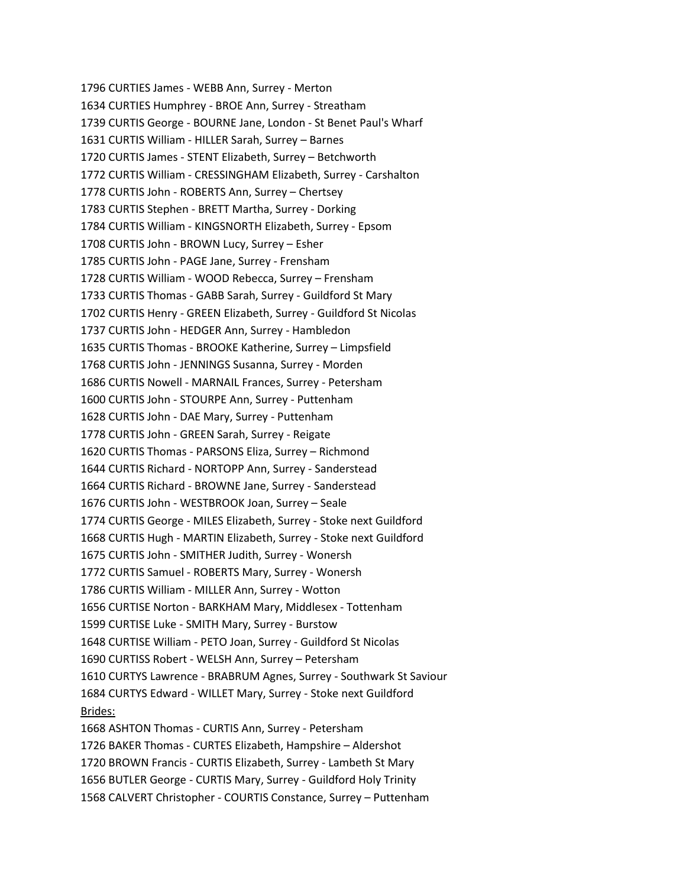1796 CURTIES James - WEBB Ann, Surrey - Merton 1634 CURTIES Humphrey - BROE Ann, Surrey - Streatham 1739 CURTIS George - BOURNE Jane, London - St Benet Paul's Wharf 1631 CURTIS William - HILLER Sarah, Surrey – Barnes 1720 CURTIS James - STENT Elizabeth, Surrey – Betchworth 1772 CURTIS William - CRESSINGHAM Elizabeth, Surrey - Carshalton 1778 CURTIS John - ROBERTS Ann, Surrey – Chertsey 1783 CURTIS Stephen - BRETT Martha, Surrey - Dorking 1784 CURTIS William - KINGSNORTH Elizabeth, Surrey - Epsom 1708 CURTIS John - BROWN Lucy, Surrey – Esher 1785 CURTIS John - PAGE Jane, Surrey - Frensham 1728 CURTIS William - WOOD Rebecca, Surrey – Frensham 1733 CURTIS Thomas - GABB Sarah, Surrey - Guildford St Mary 1702 CURTIS Henry - GREEN Elizabeth, Surrey - Guildford St Nicolas 1737 CURTIS John - HEDGER Ann, Surrey - Hambledon 1635 CURTIS Thomas - BROOKE Katherine, Surrey – Limpsfield 1768 CURTIS John - JENNINGS Susanna, Surrey - Morden 1686 CURTIS Nowell - MARNAIL Frances, Surrey - Petersham 1600 CURTIS John - STOURPE Ann, Surrey - Puttenham 1628 CURTIS John - DAE Mary, Surrey - Puttenham 1778 CURTIS John - GREEN Sarah, Surrey - Reigate 1620 CURTIS Thomas - PARSONS Eliza, Surrey – Richmond 1644 CURTIS Richard - NORTOPP Ann, Surrey - Sanderstead 1664 CURTIS Richard - BROWNE Jane, Surrey - Sanderstead 1676 CURTIS John - WESTBROOK Joan, Surrey – Seale 1774 CURTIS George - MILES Elizabeth, Surrey - Stoke next Guildford 1668 CURTIS Hugh - MARTIN Elizabeth, Surrey - Stoke next Guildford 1675 CURTIS John - SMITHER Judith, Surrey - Wonersh 1772 CURTIS Samuel - ROBERTS Mary, Surrey - Wonersh 1786 CURTIS William - MILLER Ann, Surrey - Wotton 1656 CURTISE Norton - BARKHAM Mary, Middlesex - Tottenham 1599 CURTISE Luke - SMITH Mary, Surrey - Burstow 1648 CURTISE William - PETO Joan, Surrey - Guildford St Nicolas 1690 CURTISS Robert - WELSH Ann, Surrey – Petersham 1610 CURTYS Lawrence - BRABRUM Agnes, Surrey - Southwark St Saviour 1684 CURTYS Edward - WILLET Mary, Surrey - Stoke next Guildford Brides: 1668 ASHTON Thomas - CURTIS Ann, Surrey - Petersham 1726 BAKER Thomas - CURTES Elizabeth, Hampshire – Aldershot 1720 BROWN Francis - CURTIS Elizabeth, Surrey - Lambeth St Mary 1656 BUTLER George - CURTIS Mary, Surrey - Guildford Holy Trinity 1568 CALVERT Christopher - COURTIS Constance, Surrey – Puttenham